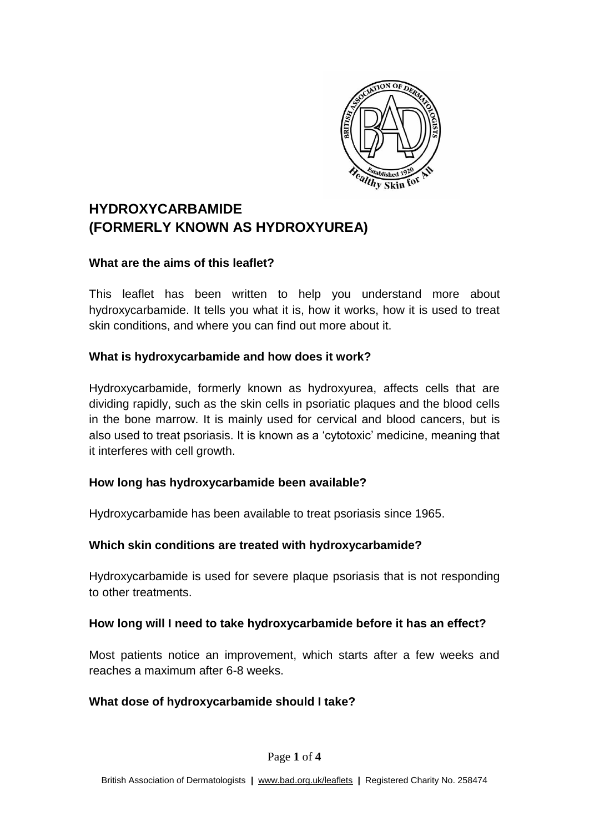

# **HYDROXYCARBAMIDE (FORMERLY KNOWN AS HYDROXYUREA)**

#### **What are the aims of this leaflet?**

This leaflet has been written to help you understand more about hydroxycarbamide. It tells you what it is, how it works, how it is used to treat skin conditions, and where you can find out more about it.

#### **What is hydroxycarbamide and how does it work?**

Hydroxycarbamide, formerly known as hydroxyurea, affects cells that are dividing rapidly, such as the skin cells in psoriatic plaques and the blood cells in the bone marrow. It is mainly used for cervical and blood cancers, but is also used to treat psoriasis. It is known as a 'cytotoxic' medicine, meaning that it interferes with cell growth.

### **How long has hydroxycarbamide been available?**

Hydroxycarbamide has been available to treat psoriasis since 1965.

### **Which skin conditions are treated with hydroxycarbamide?**

Hydroxycarbamide is used for severe plaque psoriasis that is not responding to other treatments.

### **How long will I need to take hydroxycarbamide before it has an effect?**

Most patients notice an improvement, which starts after a few weeks and reaches a maximum after 6-8 weeks.

### **What dose of hydroxycarbamide should I take?**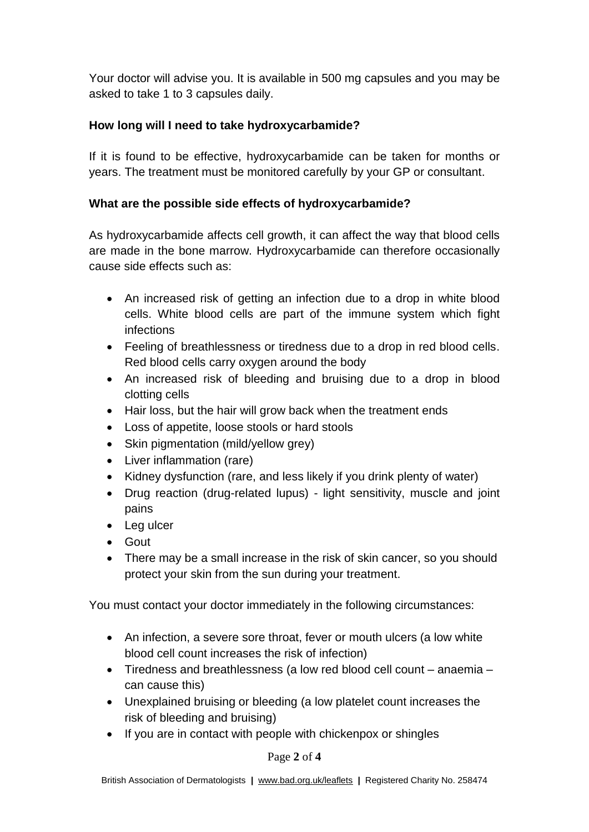Your doctor will advise you. It is available in 500 mg capsules and you may be asked to take 1 to 3 capsules daily.

### **How long will I need to take hydroxycarbamide?**

If it is found to be effective, hydroxycarbamide can be taken for months or years. The treatment must be monitored carefully by your GP or consultant.

### **What are the possible side effects of hydroxycarbamide?**

As hydroxycarbamide affects cell growth, it can affect the way that blood cells are made in the bone marrow. Hydroxycarbamide can therefore occasionally cause side effects such as:

- An increased risk of getting an infection due to a drop in white blood cells. White blood cells are part of the immune system which fight infections
- Feeling of breathlessness or tiredness due to a drop in red blood cells. Red blood cells carry oxygen around the body
- An increased risk of bleeding and bruising due to a drop in blood clotting cells
- Hair loss, but the hair will grow back when the treatment ends
- Loss of appetite, loose stools or hard stools
- Skin pigmentation (mild/yellow grey)
- Liver inflammation (rare)
- Kidney dysfunction (rare, and less likely if you drink plenty of water)
- Drug reaction (drug-related lupus) light sensitivity, muscle and joint pains
- Leg ulcer
- Gout
- There may be a small increase in the risk of skin cancer, so you should protect your skin from the sun during your treatment.

You must contact your doctor immediately in the following circumstances:

- An infection, a severe sore throat, fever or mouth ulcers (a low white blood cell count increases the risk of infection)
- Tiredness and breathlessness (a low red blood cell count anaemia can cause this)
- Unexplained bruising or bleeding (a low platelet count increases the risk of bleeding and bruising)
- If you are in contact with people with chickenpox or shingles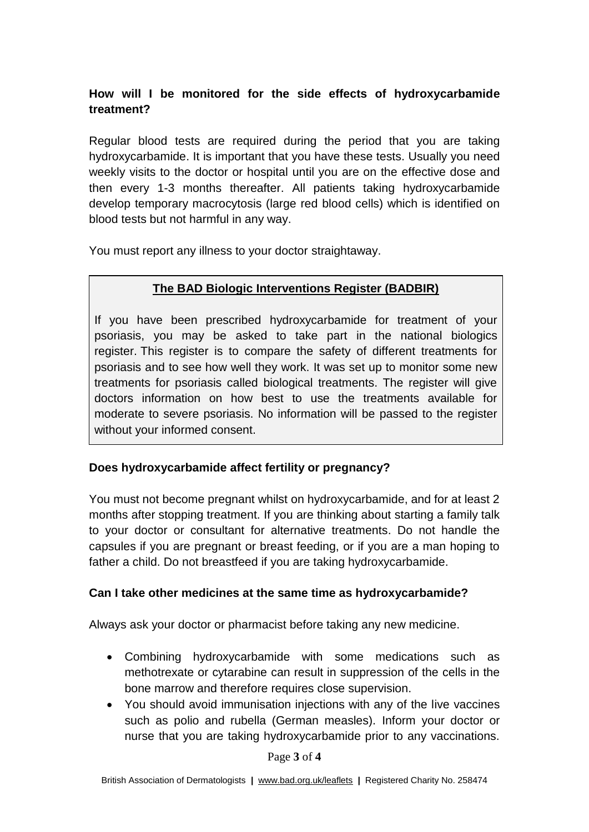## **How will I be monitored for the side effects of hydroxycarbamide treatment?**

Regular blood tests are required during the period that you are taking hydroxycarbamide. It is important that you have these tests. Usually you need weekly visits to the doctor or hospital until you are on the effective dose and then every 1-3 months thereafter. All patients taking hydroxycarbamide develop temporary macrocytosis (large red blood cells) which is identified on blood tests but not harmful in any way.

You must report any illness to your doctor straightaway.

# **The BAD Biologic Interventions Register (BADBIR)**

If you have been prescribed hydroxycarbamide for treatment of your psoriasis, you may be asked to take part in the national biologics register. This register is to compare the safety of different treatments for psoriasis and to see how well they work. It was set up to monitor some new treatments for psoriasis called biological treatments. The register will give doctors information on how best to use the treatments available for moderate to severe psoriasis. No information will be passed to the register without your informed consent.

## **Does hydroxycarbamide affect fertility or pregnancy?**

You must not become pregnant whilst on hydroxycarbamide, and for at least 2 months after stopping treatment. If you are thinking about starting a family talk to your doctor or consultant for alternative treatments. Do not handle the capsules if you are pregnant or breast feeding, or if you are a man hoping to father a child. Do not breastfeed if you are taking hydroxycarbamide.

### **Can I take other medicines at the same time as hydroxycarbamide?**

Always ask your doctor or pharmacist before taking any new medicine.

- Combining hydroxycarbamide with some medications such as methotrexate or cytarabine can result in suppression of the cells in the bone marrow and therefore requires close supervision.
- You should avoid immunisation injections with any of the live vaccines such as polio and rubella (German measles). Inform your doctor or nurse that you are taking hydroxycarbamide prior to any vaccinations.